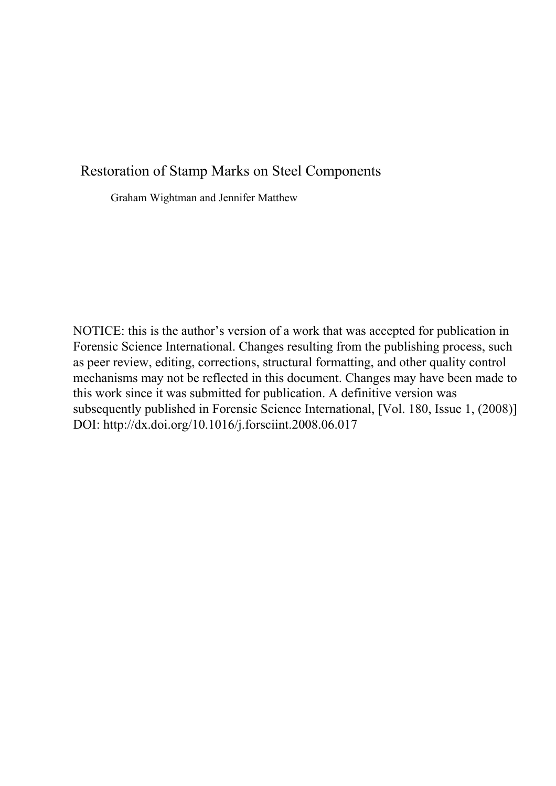# Restoration of Stamp Marks on Steel Components

Graham Wightman and Jennifer Matthew

NOTICE: this is the author's version of a work that was accepted for publication in Forensic Science International. Changes resulting from the publishing process, such as peer review, editing, corrections, structural formatting, and other quality control mechanisms may not be reflected in this document. Changes may have been made to this work since it was submitted for publication. A definitive version was subsequently published in Forensic Science International, [Vol. 180, Issue 1, (2008)] DOI: http://dx.doi.org/10.1016/j.forsciint.2008.06.017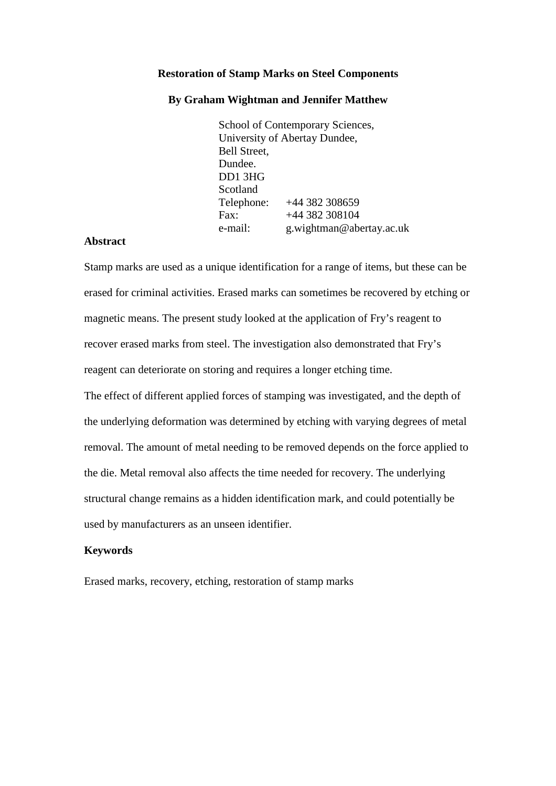#### **Restoration of Stamp Marks on Steel Components**

#### **By Graham Wightman and Jennifer Matthew**

School of Contemporary Sciences, University of Abertay Dundee, Bell Street, Dundee. DD1 3HG Scotland Telephone: +44 382 308659 Fax: +44 382 308104 e-mail: g.wightman@abertay.ac.uk

## **Abstract**

Stamp marks are used as a unique identification for a range of items, but these can be erased for criminal activities. Erased marks can sometimes be recovered by etching or magnetic means. The present study looked at the application of Fry's reagent to recover erased marks from steel. The investigation also demonstrated that Fry's reagent can deteriorate on storing and requires a longer etching time.

The effect of different applied forces of stamping was investigated, and the depth of the underlying deformation was determined by etching with varying degrees of metal removal. The amount of metal needing to be removed depends on the force applied to the die. Metal removal also affects the time needed for recovery. The underlying structural change remains as a hidden identification mark, and could potentially be used by manufacturers as an unseen identifier.

## **Keywords**

Erased marks, recovery, etching, restoration of stamp marks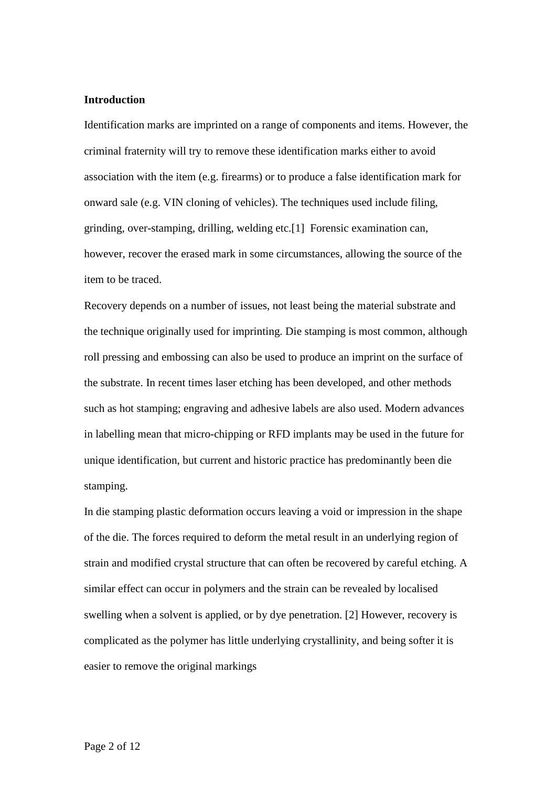## **Introduction**

Identification marks are imprinted on a range of components and items. However, the criminal fraternity will try to remove these identification marks either to avoid association with the item (e.g. firearms) or to produce a false identification mark for onward sale (e.g. VIN cloning of vehicles). The techniques used include filing, grinding, over-stamping, drilling, welding etc.[1] Forensic examination can, however, recover the erased mark in some circumstances, allowing the source of the item to be traced.

Recovery depends on a number of issues, not least being the material substrate and the technique originally used for imprinting. Die stamping is most common, although roll pressing and embossing can also be used to produce an imprint on the surface of the substrate. In recent times laser etching has been developed, and other methods such as hot stamping; engraving and adhesive labels are also used. Modern advances in labelling mean that micro-chipping or RFD implants may be used in the future for unique identification, but current and historic practice has predominantly been die stamping.

In die stamping plastic deformation occurs leaving a void or impression in the shape of the die. The forces required to deform the metal result in an underlying region of strain and modified crystal structure that can often be recovered by careful etching. A similar effect can occur in polymers and the strain can be revealed by localised swelling when a solvent is applied, or by dye penetration. [2] However, recovery is complicated as the polymer has little underlying crystallinity, and being softer it is easier to remove the original markings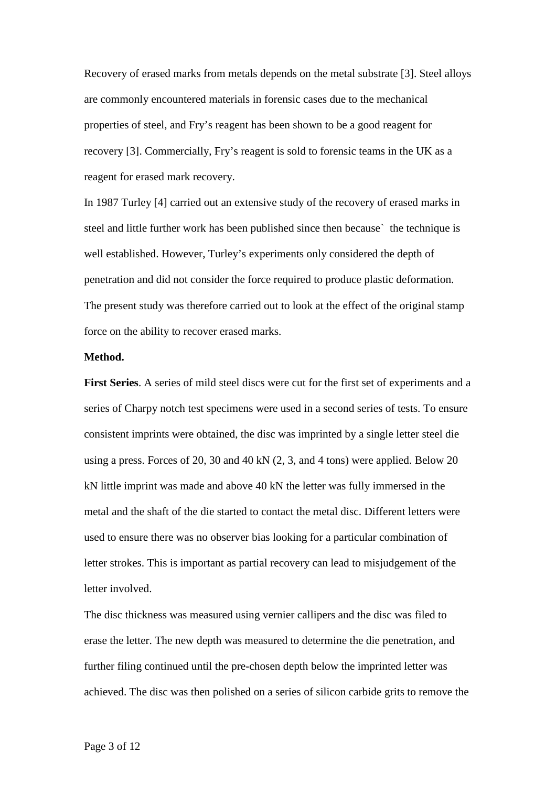Recovery of erased marks from metals depends on the metal substrate [3]. Steel alloys are commonly encountered materials in forensic cases due to the mechanical properties of steel, and Fry's reagent has been shown to be a good reagent for recovery [3]. Commercially, Fry's reagent is sold to forensic teams in the UK as a reagent for erased mark recovery.

In 1987 Turley [4] carried out an extensive study of the recovery of erased marks in steel and little further work has been published since then because` the technique is well established. However, Turley's experiments only considered the depth of penetration and did not consider the force required to produce plastic deformation. The present study was therefore carried out to look at the effect of the original stamp force on the ability to recover erased marks.

### **Method.**

**First Series**. A series of mild steel discs were cut for the first set of experiments and a series of Charpy notch test specimens were used in a second series of tests. To ensure consistent imprints were obtained, the disc was imprinted by a single letter steel die using a press. Forces of 20, 30 and 40 kN (2, 3, and 4 tons) were applied. Below 20 kN little imprint was made and above 40 kN the letter was fully immersed in the metal and the shaft of the die started to contact the metal disc. Different letters were used to ensure there was no observer bias looking for a particular combination of letter strokes. This is important as partial recovery can lead to misjudgement of the letter involved.

The disc thickness was measured using vernier callipers and the disc was filed to erase the letter. The new depth was measured to determine the die penetration, and further filing continued until the pre-chosen depth below the imprinted letter was achieved. The disc was then polished on a series of silicon carbide grits to remove the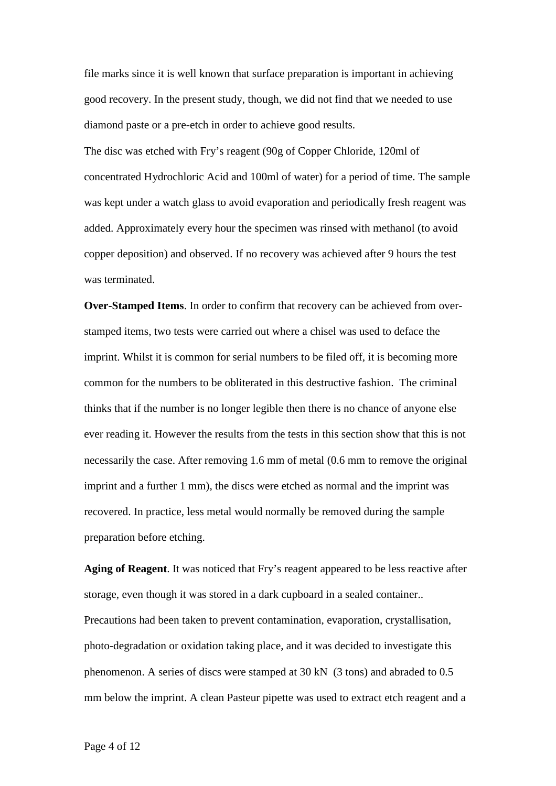file marks since it is well known that surface preparation is important in achieving good recovery. In the present study, though, we did not find that we needed to use diamond paste or a pre-etch in order to achieve good results.

The disc was etched with Fry's reagent (90g of Copper Chloride, 120ml of concentrated Hydrochloric Acid and 100ml of water) for a period of time. The sample was kept under a watch glass to avoid evaporation and periodically fresh reagent was added. Approximately every hour the specimen was rinsed with methanol (to avoid copper deposition) and observed. If no recovery was achieved after 9 hours the test was terminated.

**Over-Stamped Items**. In order to confirm that recovery can be achieved from overstamped items, two tests were carried out where a chisel was used to deface the imprint. Whilst it is common for serial numbers to be filed off, it is becoming more common for the numbers to be obliterated in this destructive fashion. The criminal thinks that if the number is no longer legible then there is no chance of anyone else ever reading it. However the results from the tests in this section show that this is not necessarily the case. After removing 1.6 mm of metal (0.6 mm to remove the original imprint and a further 1 mm), the discs were etched as normal and the imprint was recovered. In practice, less metal would normally be removed during the sample preparation before etching.

**Aging of Reagent**. It was noticed that Fry's reagent appeared to be less reactive after storage, even though it was stored in a dark cupboard in a sealed container.. Precautions had been taken to prevent contamination, evaporation, crystallisation, photo-degradation or oxidation taking place, and it was decided to investigate this phenomenon. A series of discs were stamped at 30 kN (3 tons) and abraded to 0.5 mm below the imprint. A clean Pasteur pipette was used to extract etch reagent and a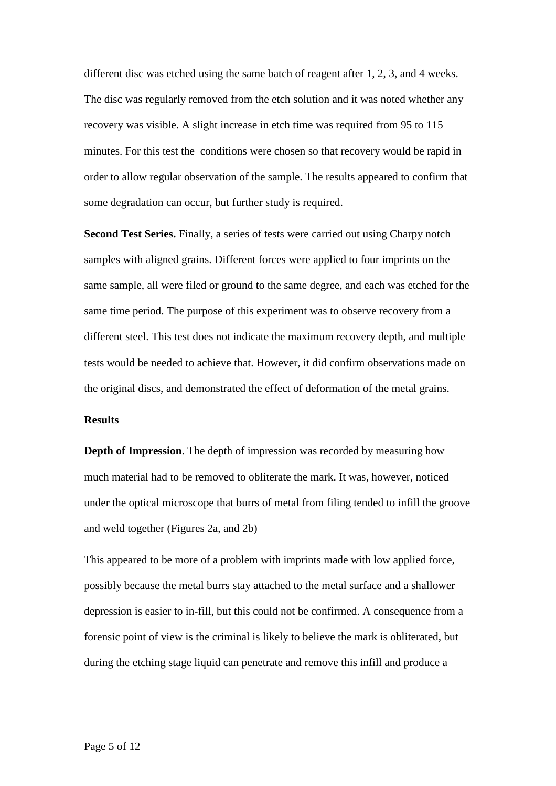different disc was etched using the same batch of reagent after 1, 2, 3, and 4 weeks. The disc was regularly removed from the etch solution and it was noted whether any recovery was visible. A slight increase in etch time was required from 95 to 115 minutes. For this test the conditions were chosen so that recovery would be rapid in order to allow regular observation of the sample. The results appeared to confirm that some degradation can occur, but further study is required.

**Second Test Series.** Finally, a series of tests were carried out using Charpy notch samples with aligned grains. Different forces were applied to four imprints on the same sample, all were filed or ground to the same degree, and each was etched for the same time period. The purpose of this experiment was to observe recovery from a different steel. This test does not indicate the maximum recovery depth, and multiple tests would be needed to achieve that. However, it did confirm observations made on the original discs, and demonstrated the effect of deformation of the metal grains.

### **Results**

**Depth of Impression**. The depth of impression was recorded by measuring how much material had to be removed to obliterate the mark. It was, however, noticed under the optical microscope that burrs of metal from filing tended to infill the groove and weld together (Figures 2a, and 2b)

This appeared to be more of a problem with imprints made with low applied force, possibly because the metal burrs stay attached to the metal surface and a shallower depression is easier to in-fill, but this could not be confirmed. A consequence from a forensic point of view is the criminal is likely to believe the mark is obliterated, but during the etching stage liquid can penetrate and remove this infill and produce a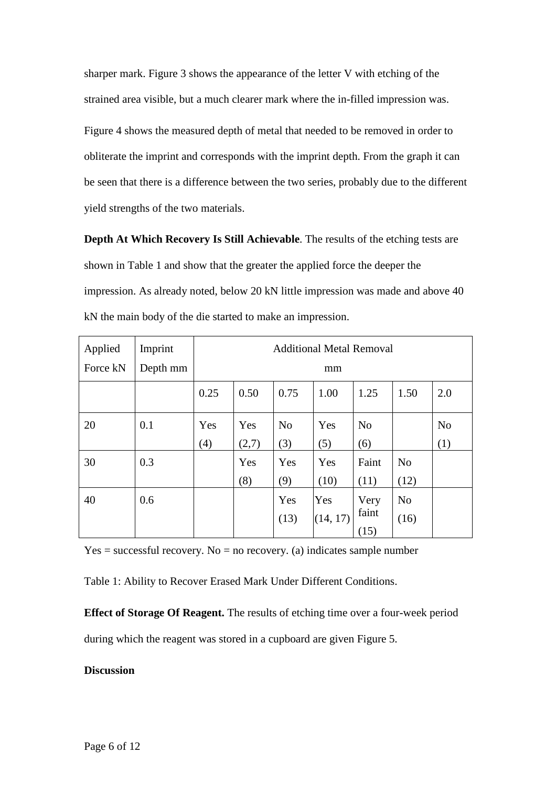sharper mark. Figure 3 shows the appearance of the letter V with etching of the strained area visible, but a much clearer mark where the in-filled impression was.

Figure 4 shows the measured depth of metal that needed to be removed in order to obliterate the imprint and corresponds with the imprint depth. From the graph it can be seen that there is a difference between the two series, probably due to the different yield strengths of the two materials.

**Depth At Which Recovery Is Still Achievable**. The results of the etching tests are shown in Table 1 and show that the greater the applied force the deeper the impression. As already noted, below 20 kN little impression was made and above 40 kN the main body of the die started to make an impression.

| Applied  | Imprint  | <b>Additional Metal Removal</b> |       |                |          |                |                |                |
|----------|----------|---------------------------------|-------|----------------|----------|----------------|----------------|----------------|
| Force kN | Depth mm | mm                              |       |                |          |                |                |                |
|          |          | 0.25                            | 0.50  | 0.75           | 1.00     | 1.25           | 1.50           | 2.0            |
| 20       | 0.1      | Yes                             | Yes   | N <sub>o</sub> | Yes      | N <sub>o</sub> |                | N <sub>o</sub> |
|          |          | (4)                             | (2,7) | (3)            | (5)      | (6)            |                | (1)            |
| 30       | 0.3      |                                 | Yes   | Yes            | Yes      | Faint          | N <sub>o</sub> |                |
|          |          |                                 | (8)   | (9)            | (10)     | (11)           | (12)           |                |
| 40       | 0.6      |                                 |       | Yes            | Yes      | Very           | N <sub>o</sub> |                |
|          |          |                                 |       | (13)           | (14, 17) | faint          | (16)           |                |
|          |          |                                 |       |                |          | (15)           |                |                |

 $Yes = successful recovery. No = no recovery. (a) indicates sample number$ 

Table 1: Ability to Recover Erased Mark Under Different Conditions.

**Effect of Storage Of Reagent.** The results of etching time over a four-week period during which the reagent was stored in a cupboard are given Figure 5.

## **Discussion**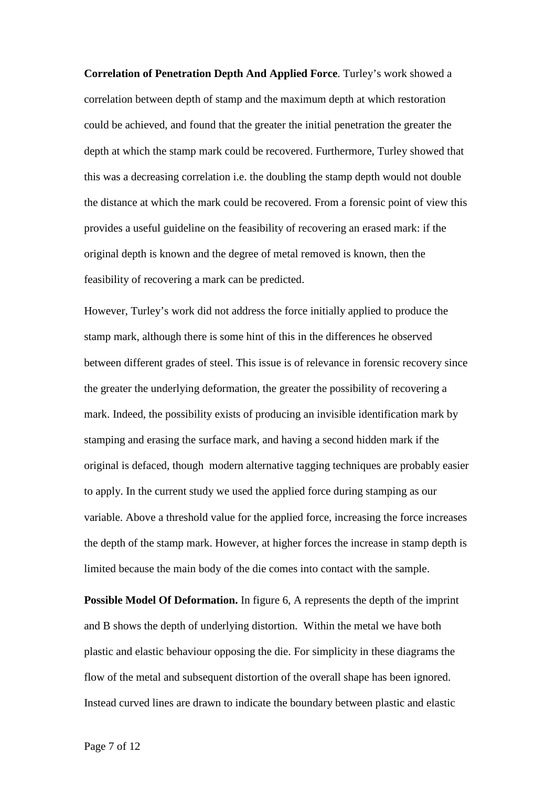**Correlation of Penetration Depth And Applied Force**. Turley's work showed a correlation between depth of stamp and the maximum depth at which restoration could be achieved, and found that the greater the initial penetration the greater the depth at which the stamp mark could be recovered. Furthermore, Turley showed that this was a decreasing correlation i.e. the doubling the stamp depth would not double the distance at which the mark could be recovered. From a forensic point of view this provides a useful guideline on the feasibility of recovering an erased mark: if the original depth is known and the degree of metal removed is known, then the feasibility of recovering a mark can be predicted.

However, Turley's work did not address the force initially applied to produce the stamp mark, although there is some hint of this in the differences he observed between different grades of steel. This issue is of relevance in forensic recovery since the greater the underlying deformation, the greater the possibility of recovering a mark. Indeed, the possibility exists of producing an invisible identification mark by stamping and erasing the surface mark, and having a second hidden mark if the original is defaced, though modern alternative tagging techniques are probably easier to apply. In the current study we used the applied force during stamping as our variable. Above a threshold value for the applied force, increasing the force increases the depth of the stamp mark. However, at higher forces the increase in stamp depth is limited because the main body of the die comes into contact with the sample.

**Possible Model Of Deformation.** In figure 6, A represents the depth of the imprint and B shows the depth of underlying distortion. Within the metal we have both plastic and elastic behaviour opposing the die. For simplicity in these diagrams the flow of the metal and subsequent distortion of the overall shape has been ignored. Instead curved lines are drawn to indicate the boundary between plastic and elastic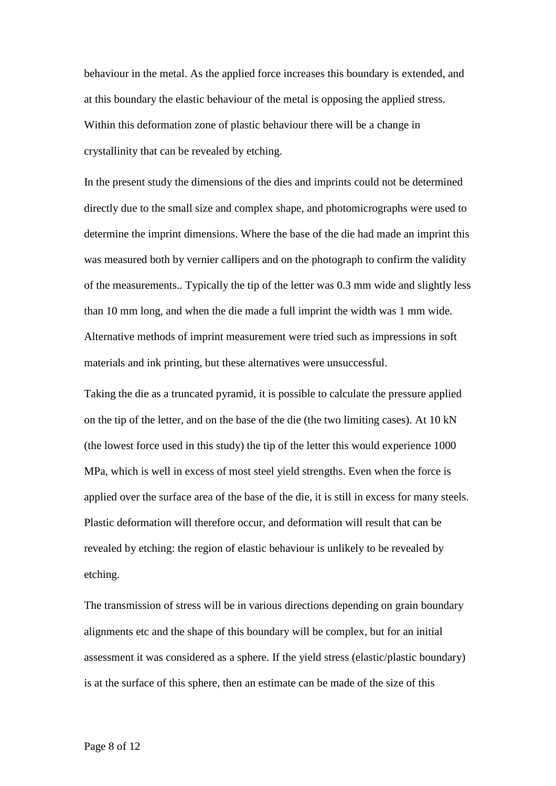behaviour in the metal. As the applied force increases this boundary is extended, and at this boundary the elastic behaviour of the metal is opposing the applied stress. Within this deformation zone of plastic behaviour there will be a change in crystallinity that can be revealed by etching.

In the present study the dimensions of the dies and imprints could not be determined directly due to the small size and complex shape, and photomicrographs were used to determine the imprint dimensions. Where the base of the die had made an imprint this was measured both by vernier callipers and on the photograph to confirm the validity of the measurements.. Typically the tip of the letter was 0.3 mm wide and slightly less than 10 mm long, and when the die made a full imprint the width was 1 mm wide. Alternative methods of imprint measurement were tried such as impressions in soft materials and ink printing, but these alternatives were unsuccessful.

Taking the die as a truncated pyramid, it is possible to calculate the pressure applied on the tip of the letter, and on the base of the die (the two limiting cases). At 10 kN (the lowest force used in this study) the tip of the letter this would experience 1000 MPa, which is well in excess of most steel yield strengths. Even when the force is applied over the surface area of the base of the die, it is still in excess for many steels. Plastic deformation will therefore occur, and deformation will result that can be revealed by etching: the region of elastic behaviour is unlikely to be revealed by etching.

The transmission of stress will be in various directions depending on grain boundary alignments etc and the shape of this boundary will be complex, but for an initial assessment it was considered as a sphere. If the yield stress (elastic/plastic boundary) is at the surface of this sphere, then an estimate can be made of the size of this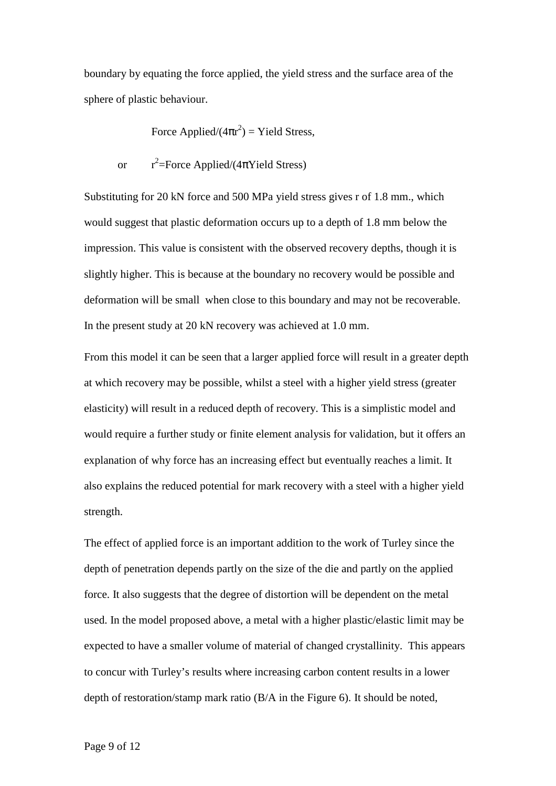boundary by equating the force applied, the yield stress and the surface area of the sphere of plastic behaviour.

Force Applied/ $(4\pi r^2)$  = Yield Stress,

 or r <sup>2</sup>=Force Applied/(4πYield Stress)

Substituting for 20 kN force and 500 MPa yield stress gives r of 1.8 mm., which would suggest that plastic deformation occurs up to a depth of 1.8 mm below the impression. This value is consistent with the observed recovery depths, though it is slightly higher. This is because at the boundary no recovery would be possible and deformation will be small when close to this boundary and may not be recoverable. In the present study at 20 kN recovery was achieved at 1.0 mm.

From this model it can be seen that a larger applied force will result in a greater depth at which recovery may be possible, whilst a steel with a higher yield stress (greater elasticity) will result in a reduced depth of recovery. This is a simplistic model and would require a further study or finite element analysis for validation, but it offers an explanation of why force has an increasing effect but eventually reaches a limit. It also explains the reduced potential for mark recovery with a steel with a higher yield strength.

The effect of applied force is an important addition to the work of Turley since the depth of penetration depends partly on the size of the die and partly on the applied force. It also suggests that the degree of distortion will be dependent on the metal used. In the model proposed above, a metal with a higher plastic/elastic limit may be expected to have a smaller volume of material of changed crystallinity. This appears to concur with Turley's results where increasing carbon content results in a lower depth of restoration/stamp mark ratio (B/A in the Figure 6). It should be noted,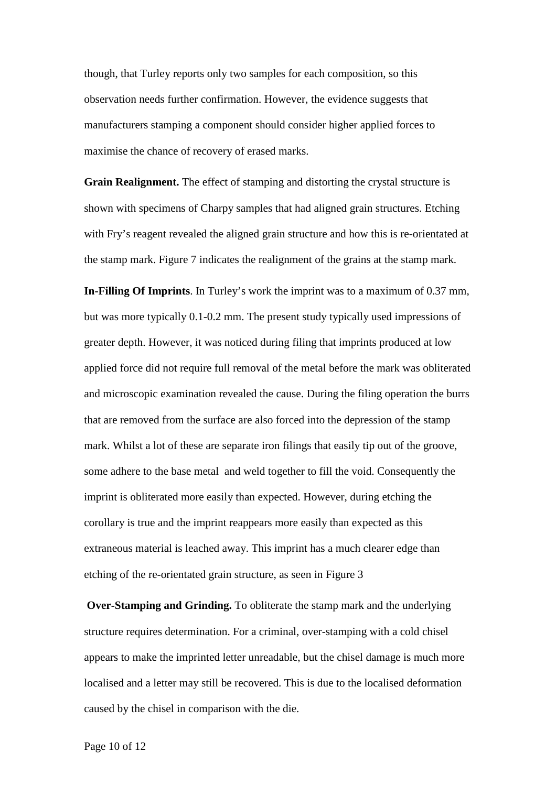though, that Turley reports only two samples for each composition, so this observation needs further confirmation. However, the evidence suggests that manufacturers stamping a component should consider higher applied forces to maximise the chance of recovery of erased marks.

**Grain Realignment.** The effect of stamping and distorting the crystal structure is shown with specimens of Charpy samples that had aligned grain structures. Etching with Fry's reagent revealed the aligned grain structure and how this is re-orientated at the stamp mark. Figure 7 indicates the realignment of the grains at the stamp mark.

**In-Filling Of Imprints**. In Turley's work the imprint was to a maximum of 0.37 mm, but was more typically 0.1-0.2 mm. The present study typically used impressions of greater depth. However, it was noticed during filing that imprints produced at low applied force did not require full removal of the metal before the mark was obliterated and microscopic examination revealed the cause. During the filing operation the burrs that are removed from the surface are also forced into the depression of the stamp mark. Whilst a lot of these are separate iron filings that easily tip out of the groove, some adhere to the base metal and weld together to fill the void. Consequently the imprint is obliterated more easily than expected. However, during etching the corollary is true and the imprint reappears more easily than expected as this extraneous material is leached away. This imprint has a much clearer edge than etching of the re-orientated grain structure, as seen in Figure 3

**Over-Stamping and Grinding.** To obliterate the stamp mark and the underlying structure requires determination. For a criminal, over-stamping with a cold chisel appears to make the imprinted letter unreadable, but the chisel damage is much more localised and a letter may still be recovered. This is due to the localised deformation caused by the chisel in comparison with the die.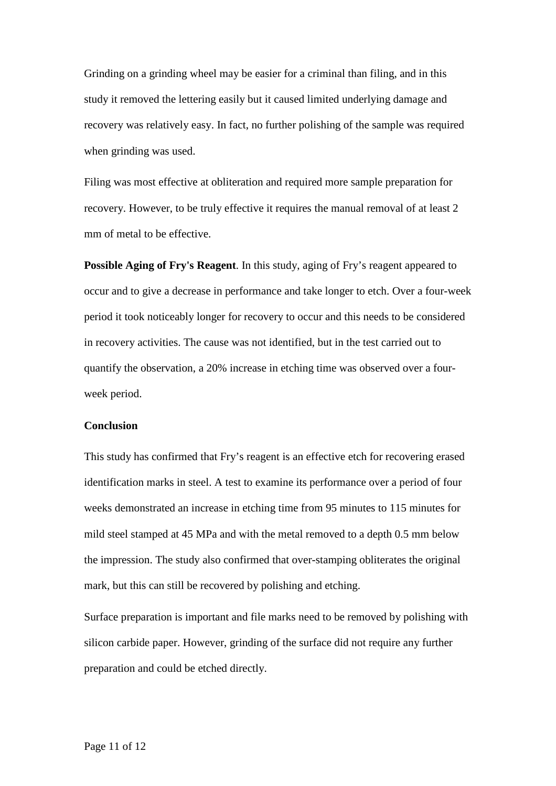Grinding on a grinding wheel may be easier for a criminal than filing, and in this study it removed the lettering easily but it caused limited underlying damage and recovery was relatively easy. In fact, no further polishing of the sample was required when grinding was used.

Filing was most effective at obliteration and required more sample preparation for recovery. However, to be truly effective it requires the manual removal of at least 2 mm of metal to be effective.

**Possible Aging of Fry's Reagent**. In this study, aging of Fry's reagent appeared to occur and to give a decrease in performance and take longer to etch. Over a four-week period it took noticeably longer for recovery to occur and this needs to be considered in recovery activities. The cause was not identified, but in the test carried out to quantify the observation, a 20% increase in etching time was observed over a fourweek period.

## **Conclusion**

This study has confirmed that Fry's reagent is an effective etch for recovering erased identification marks in steel. A test to examine its performance over a period of four weeks demonstrated an increase in etching time from 95 minutes to 115 minutes for mild steel stamped at 45 MPa and with the metal removed to a depth 0.5 mm below the impression. The study also confirmed that over-stamping obliterates the original mark, but this can still be recovered by polishing and etching.

Surface preparation is important and file marks need to be removed by polishing with silicon carbide paper. However, grinding of the surface did not require any further preparation and could be etched directly.